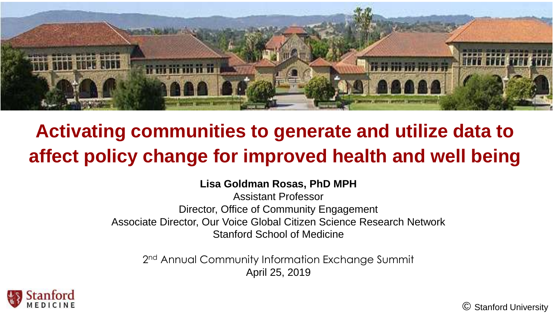

### **Activating communities to generate and utilize data to affect policy change for improved health and well being**

#### **Lisa Goldman Rosas, PhD MPH**

Assistant Professor Director, Office of Community Engagement Associate Director, Our Voice Global Citizen Science Research Network Stanford School of Medicine

2<sup>nd</sup> Annual Community Information Exchange Summit April 25, 2019



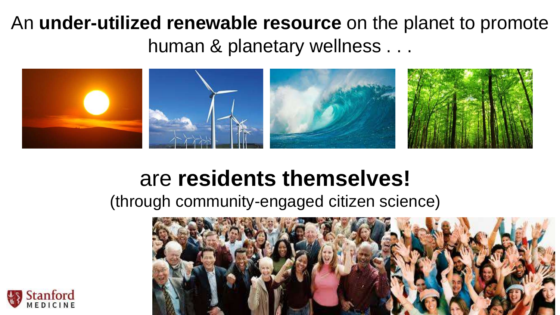#### An **under-utilized renewable resource** on the planet to promote human & planetary wellness . . .



#### are **residents themselves!**

(through community-engaged citizen science)



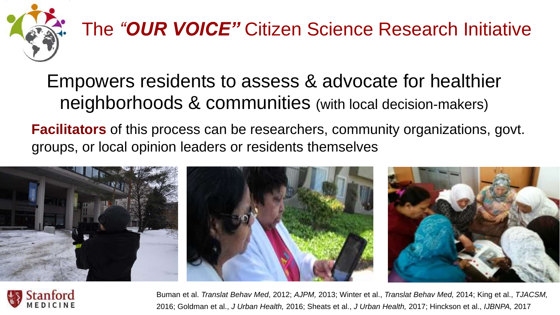

# The *"OUR VOICE"* Citizen Science Research Initiative

#### Empowers residents to assess & advocate for healthier neighborhoods & communities (with local decision-makers)

**Facilitators** of this process can be researchers, community organizations, govt. groups, or local opinion leaders or residents themselves





Buman et al. *Translat Behav Med*, 2012; *AJPM,* 2013; Winter et al., *Translat Behav Med,* 2014; King et al., *TJACSM,*  2016; Goldman et al., *J Urban Health,* 2016; Sheats et al., *J Urban Health,* 2017; Hinckson et al., *IJBNPA,* 2017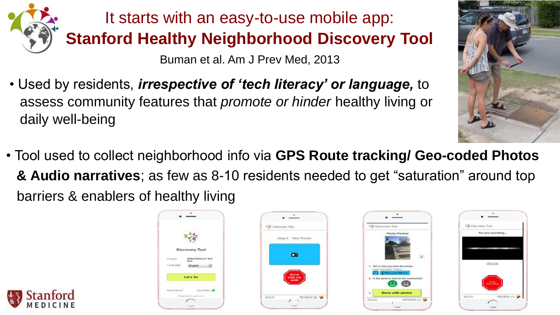

It starts with an easy-to-use mobile app: **Stanford Healthy Neighborhood Discovery Tool**

Buman et al. Am J Prev Med, 2013

- Used by residents, *irrespective of 'tech literacy' or language,* to assess community features that *promote or hinder* healthy living or daily well-being
- Tool used to collect neighborhood info via **GPS Route tracking/ Geo-coded Photos & Audio narratives**; as few as 8-10 residents needed to get "saturation" around top barriers & enablers of healthy living









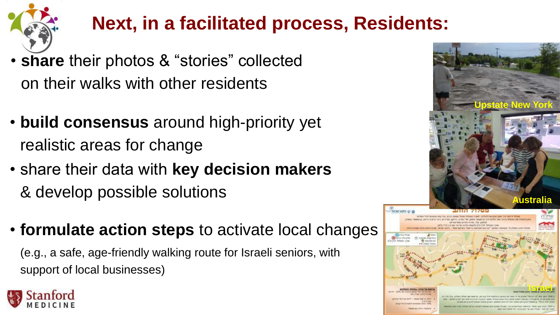

### **Next, in a facilitated process, Residents:**

- **share** their photos & "stories" collected on their walks with other residents
- **build consensus** around high-priority yet realistic areas for change
- share their data with **key decision makers**   $&$  develop possible solutions
- **formulate action steps** to activate local changes

(e.g., a safe, age-friendly walking route for Israeli seniors, with support of local businesses)



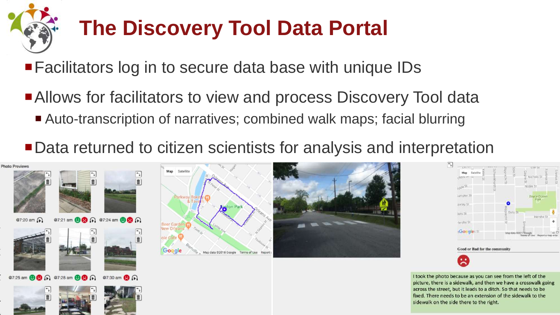# **The Discovery Tool Data Portal**

■ Facilitators log in to secure data base with unique IDs

- Allows for facilitators to view and process Discovery Tool data
	- Auto-transcription of narratives; combined walk maps; facial blurring

■ Data returned to citizen scientists for analysis and interpretation









I took the photo because as you can see from the left of the picture, there is a sidewalk, and then we have a crosswalk going across the street, but it leads to a ditch. So that needs to be fixed. There needs to be an extension of the sidewalk to the sidewalk on the side there to the right.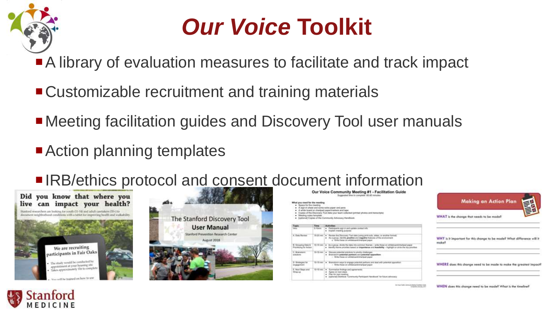

## *Our Voice* **Toolkit**

■ A library of evaluation measures to facilitate and track impact

- Customizable recruitment and training materials
- Meeting facilitation guides and Discovery Tool user manuals
- Action planning templates
- IRB/ethics protocol and consent document information





| What you rised for the mexting<br>. Space for the meeting |                   | Our Voice Community Meeting #1 - Facilitation Guide<br>Equipmented lines for connectants: 60-30 minutes<br>. A sign-in about and some extra paper and perm<br>. A while board or charged papertnarbers and teps:       | <b>THE REAL</b><br><b>Making an Action Plan</b>                               |
|-----------------------------------------------------------|-------------------|------------------------------------------------------------------------------------------------------------------------------------------------------------------------------------------------------------------------|-------------------------------------------------------------------------------|
| · Moding notes la reside                                  |                   | . Cooks of the Discovery Toxi data your team collected gromed photos and transcripted<br>. Scottered Copies of the Community Advocacy Handbook                                                                         | WHAT is the change that needs to be made?                                     |
| Tupic                                                     | Trees<br>5. Green | <b>Activities</b><br>4 Farhizants sur-in and uplan contact into<br>. Explore manifest purposes                                                                                                                         |                                                                               |
| A. Data Review                                            |                   | 16-20 nm   . Review the Discovery Two cates cusing print outs, sinkes, at another homail.<br>. As a group, vientify positive and regative features of the environment<br>is. Write these on whiteboard therized paper. | WHY is it important for this change to be made? What difference will<br>make? |
| B. Grossmy Dies &<br>Presidency for Action                |                   | 15-15 year # As a precip Mixile the data hills common themes - while these on whitehold charican paper<br>. Marrilly theme priorities hence in importance and headbilds - highlight or circle the log priorities       |                                                                               |
| C. Brightenberg<br>Arkulanee                              |                   | TB-75 mm   . Disnuss patential s/A/form to printly charlenges<br>. Brainsboro patential partners and potential opposition<br>- Write these art efficious and transaction                                               |                                                                               |
| D. Strategies for<br>distancement.                        |                   | 10.15 neers Broadsborn ways to employe protected partners and seat with polarized opposition.<br>- Vinks these on antistimant thanked paper.                                                                           | WHERE does this change need to be made to make the greatest imp               |
| E. Next Slaps and<br>Wap-id-                              |                   | 19-19 nov   a 5 Summarize Professo and agreements<br>4 Agree on next steps<br>Plan for next reserves<br>. Jophunet Divisions 'Comments Participant Handbook' for future adverage                                       |                                                                               |

e made to make the greatest impact

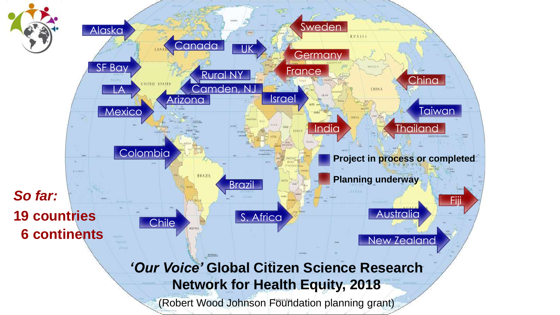